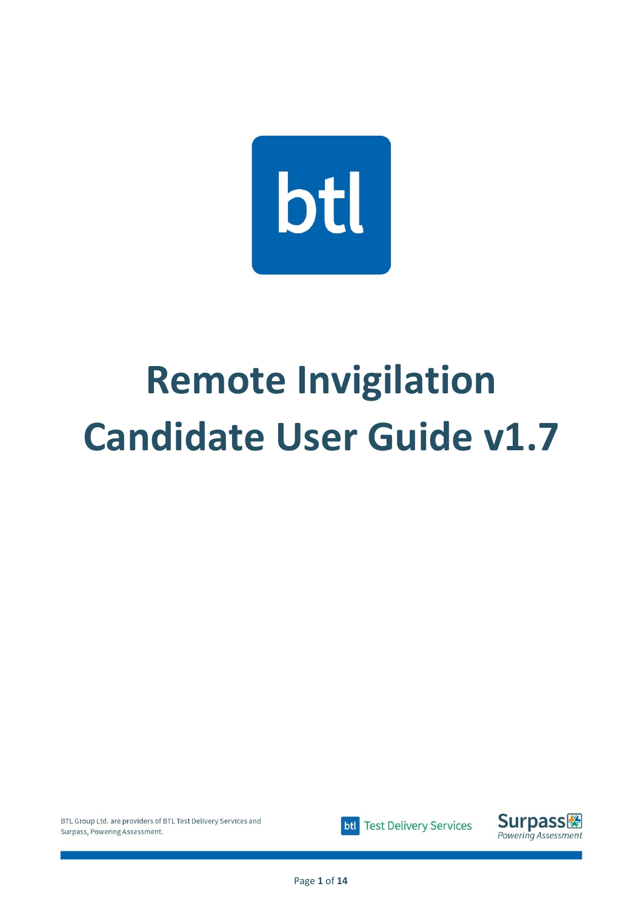

# **Remote Invigilation Candidate User Guide v1.7**



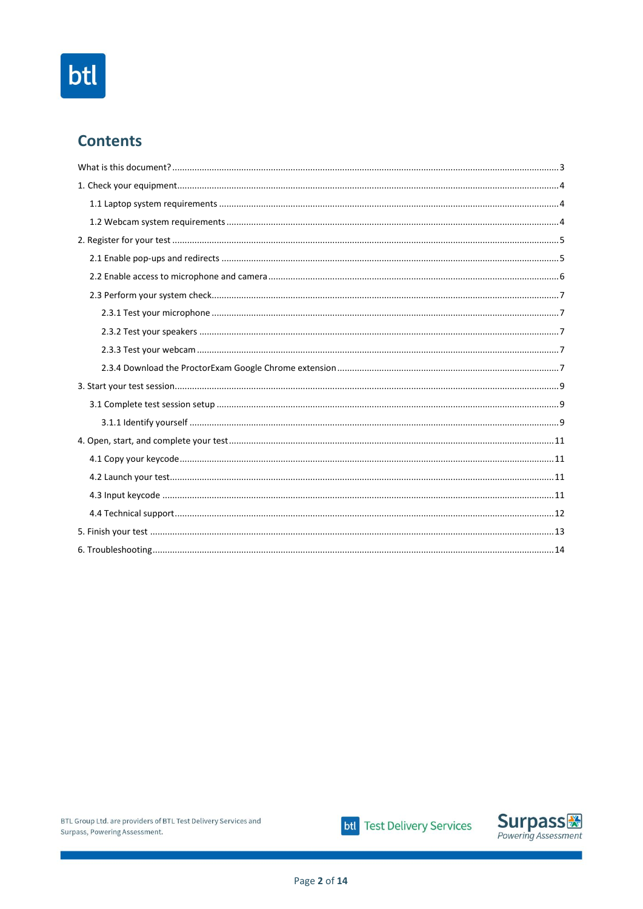# btl

# **Contents**



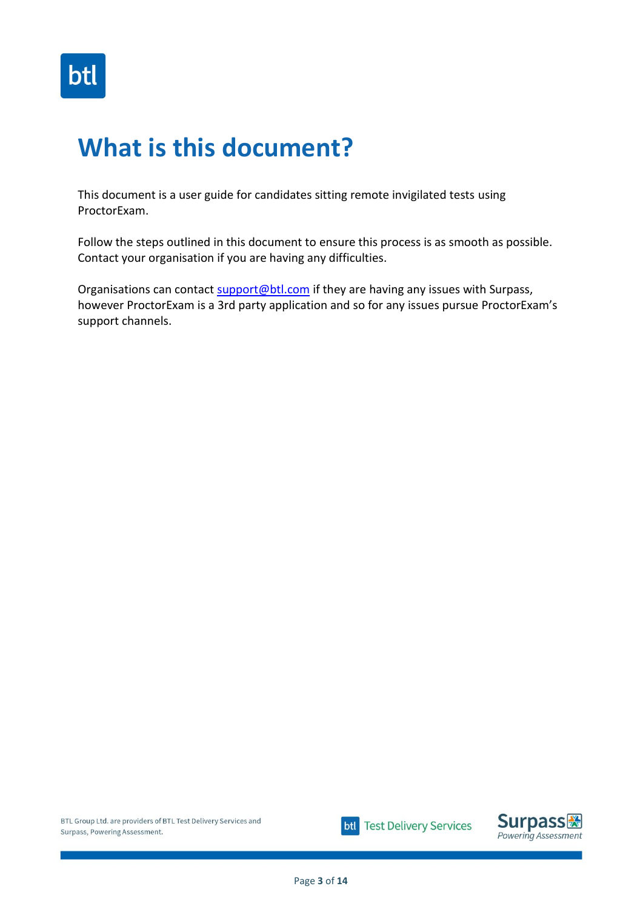

# <span id="page-2-0"></span>**What is this document?**

This document is a user guide for candidates sitting remote invigilated tests using ProctorExam.

Follow the steps outlined in this document to ensure this process is as smooth as possible. Contact your organisation if you are having any difficulties.

Organisations can contact [support@btl.com](mailto:support@btl.com) if they are having any issues with Surpass, however ProctorExam is a 3rd party application and so for any issues pursue ProctorExam's support channels.



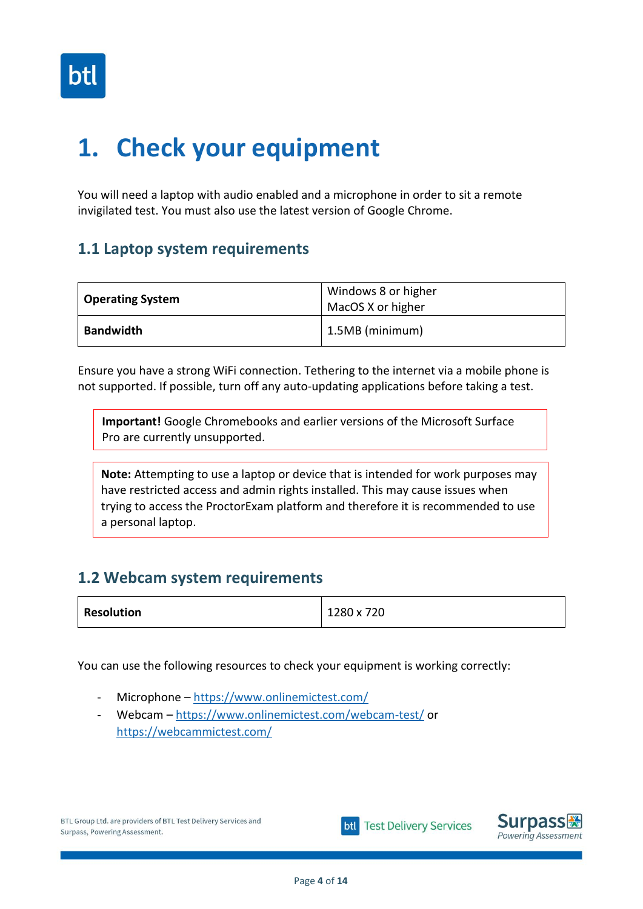

# <span id="page-3-0"></span>**1. Check your equipment**

You will need a laptop with audio enabled and a microphone in order to sit a remote invigilated test. You must also use the latest version of Google Chrome.

### <span id="page-3-1"></span>**1.1 Laptop system requirements**

| <b>Operating System</b> | Windows 8 or higher<br>MacOS X or higher |
|-------------------------|------------------------------------------|
| <b>Bandwidth</b>        | 1.5MB (minimum)                          |

Ensure you have a strong WiFi connection. Tethering to the internet via a mobile phone is not supported. If possible, turn off any auto-updating applications before taking a test.

**Important!** Google Chromebooks and earlier versions of the Microsoft Surface Pro are currently unsupported.

**Note:** Attempting to use a laptop or device that is intended for work purposes may have restricted access and admin rights installed. This may cause issues when trying to access the ProctorExam platform and therefore it is recommended to use a personal laptop.

### <span id="page-3-2"></span>**1.2 Webcam system requirements**

| <b>Resolution</b> | 1280 x 720 |
|-------------------|------------|
|                   |            |

You can use the following resources to check your equipment is working correctly:

- Microphone <https://www.onlinemictest.com/>
- Webcam <https://www.onlinemictest.com/webcam-test/> or <https://webcammictest.com/>



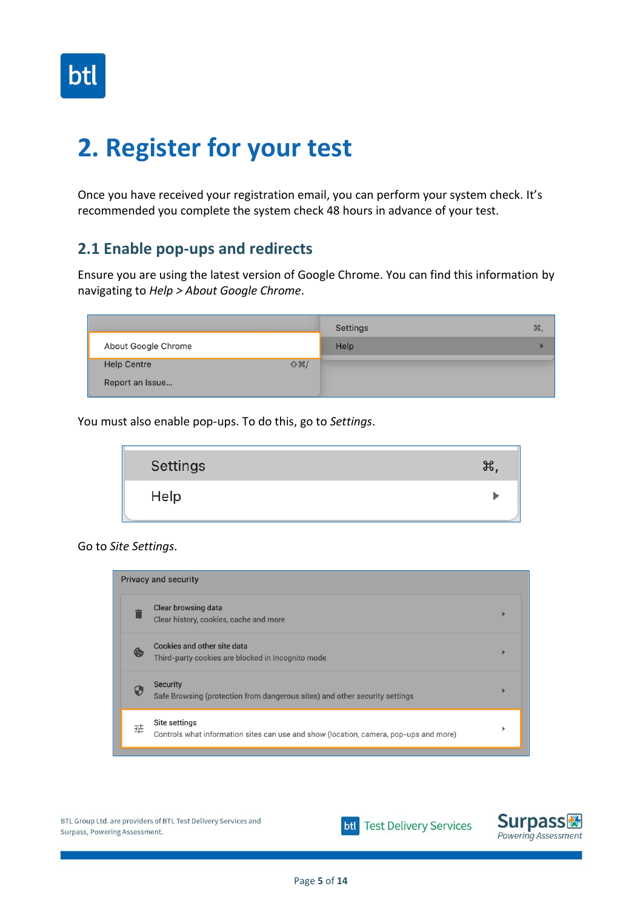

# <span id="page-4-0"></span>**2. Register for your test**

Once you have received your registration email, you can perform your system check. It's recommended you complete the system check 48 hours in advance of your test.

### <span id="page-4-1"></span>**2.1 Enable pop-ups and redirects**

Ensure you are using the latest version of Google Chrome. You can find this information by navigating to *Help > About Google Chrome*.

|                                     | Settings | ₩. |
|-------------------------------------|----------|----|
| About Google Chrome                 | Help     |    |
| $\bigcirc$ ポ/<br><b>Help Centre</b> |          |    |
| Report an Issue                     |          |    |

You must also enable pop-ups. To do this, go to *Settings*.



#### Go to *Site Settings*.





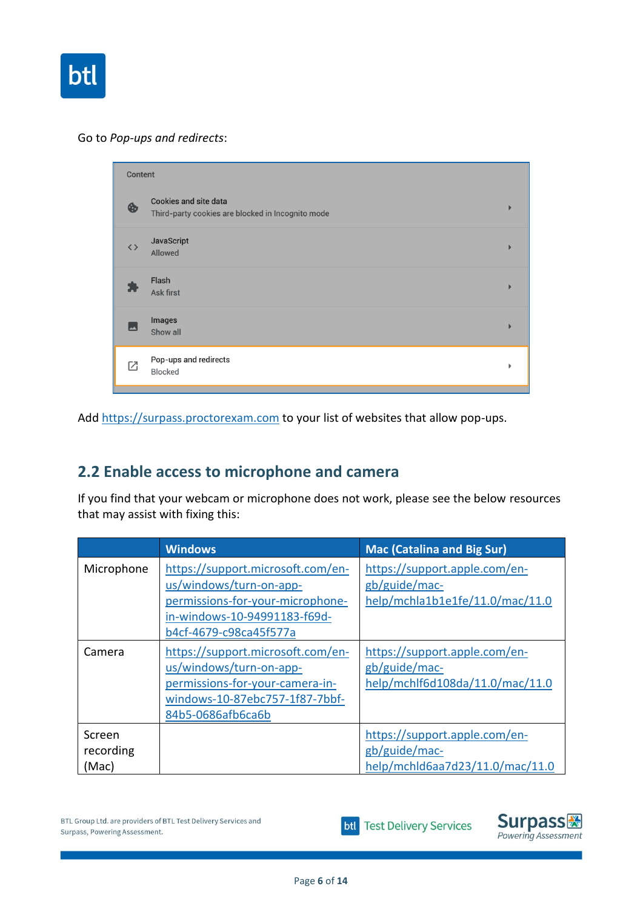

#### Go to *Pop-ups and redirects*:

| Content           |                                                                                   |   |
|-------------------|-----------------------------------------------------------------------------------|---|
| ❀                 | <b>Cookies and site data</b><br>Third-party cookies are blocked in Incognito mode |   |
| $\langle \rangle$ | JavaScript<br>Allowed                                                             |   |
|                   | Flash<br>Ask first                                                                |   |
| عم                | Images<br>Show all                                                                |   |
| ⊠                 | Pop-ups and redirects<br><b>Blocked</b>                                           | ь |
|                   |                                                                                   |   |

Add [https://surpass.proctorexam.com](https://surpass.proctorexam.com/) to your list of websites that allow pop-ups.

# <span id="page-5-0"></span>**2.2 Enable access to microphone and camera**

If you find that your webcam or microphone does not work, please see the below resources that may assist with fixing this:

|                              | <b>Windows</b>                                                                                                                                             | <b>Mac (Catalina and Big Sur)</b>                                                 |
|------------------------------|------------------------------------------------------------------------------------------------------------------------------------------------------------|-----------------------------------------------------------------------------------|
| Microphone                   | https://support.microsoft.com/en-<br>us/windows/turn-on-app-<br>permissions-for-your-microphone-<br>in-windows-10-94991183-f69d-<br>b4cf-4679-c98ca45f577a | https://support.apple.com/en-<br>gb/guide/mac-<br>help/mchla1b1e1fe/11.0/mac/11.0 |
| Camera                       | https://support.microsoft.com/en-<br>us/windows/turn-on-app-<br>permissions-for-your-camera-in-<br>windows-10-87ebc757-1f87-7bbf-<br>84b5-0686afb6ca6b     | https://support.apple.com/en-<br>gb/guide/mac-<br>help/mchlf6d108da/11.0/mac/11.0 |
| Screen<br>recording<br>(Mac) |                                                                                                                                                            | https://support.apple.com/en-<br>gb/guide/mac-<br>help/mchld6aa7d23/11.0/mac/11.0 |

**btl** Test Delivery Services

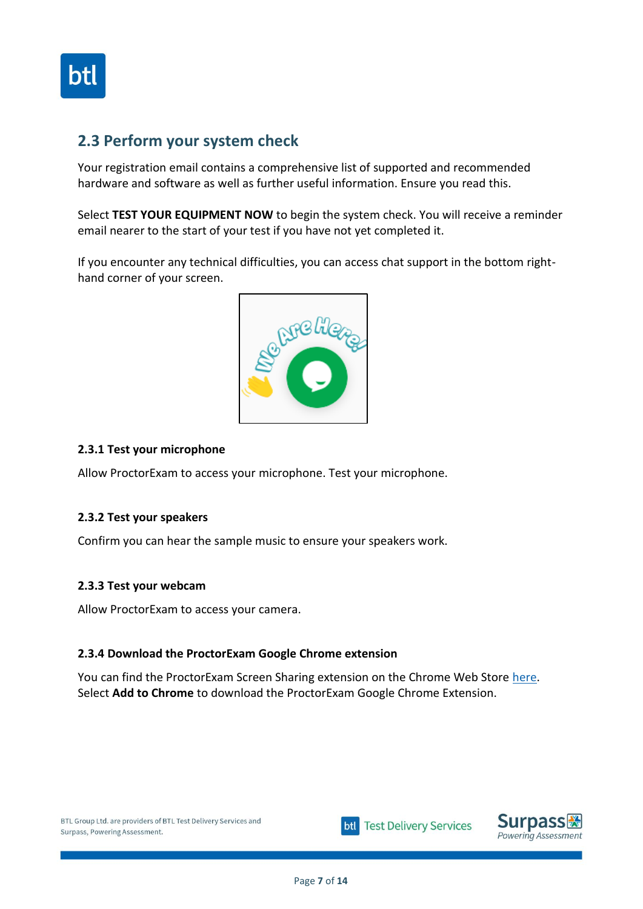

### <span id="page-6-0"></span>**2.3 Perform your system check**

Your registration email contains a comprehensive list of supported and recommended hardware and software as well as further useful information. Ensure you read this.

Select **TEST YOUR EQUIPMENT NOW** to begin the system check. You will receive a reminder email nearer to the start of your test if you have not yet completed it.

If you encounter any technical difficulties, you can access chat support in the bottom righthand corner of your screen.



#### <span id="page-6-1"></span>**2.3.1 Test your microphone**

Allow ProctorExam to access your microphone. Test your microphone.

#### <span id="page-6-2"></span>**2.3.2 Test your speakers**

Confirm you can hear the sample music to ensure your speakers work.

#### <span id="page-6-3"></span>**2.3.3 Test your webcam**

Allow ProctorExam to access your camera.

#### <span id="page-6-4"></span>**2.3.4 Download the ProctorExam Google Chrome extension**

You can find the ProctorExam Screen Sharing extension on the Chrome Web Store [here.](https://chrome.google.com/webstore/detail/proctorexam-screen-sharin/digojkgonhgmnohbapdfjllpnmjmdhpg?hl=en) Select **Add to Chrome** to download the ProctorExam Google Chrome Extension.



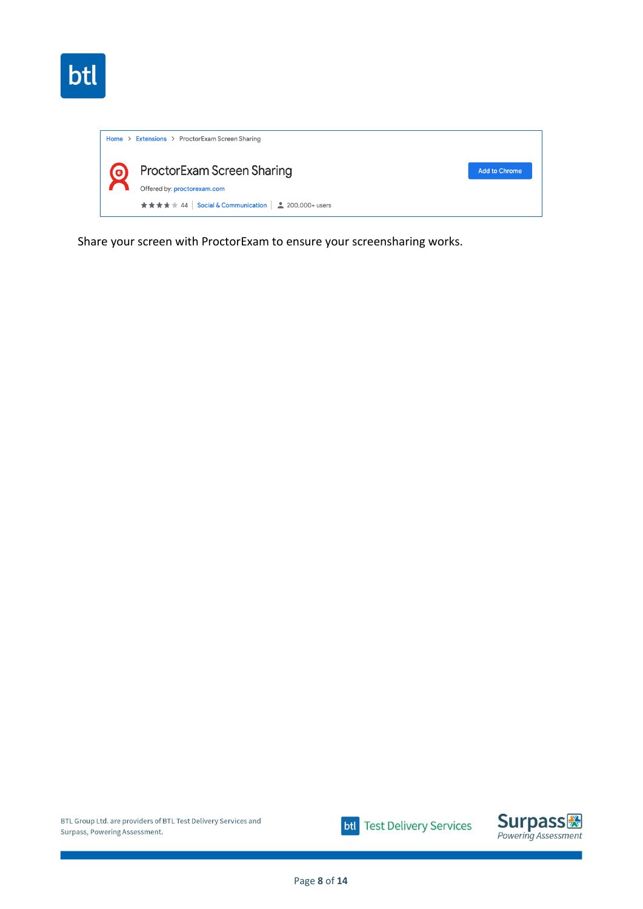

| <b>ProctorExam Screen Sharing</b><br>$\boldsymbol{\mathsf{\Theta}}$<br><b>Add to Chrome</b><br>Offered by: proctorexam.com<br>★★★★★ 44   Social & Communication   2 200,000+ users | Home > Extensions > ProctorExam Screen Sharing |  |
|------------------------------------------------------------------------------------------------------------------------------------------------------------------------------------|------------------------------------------------|--|
|                                                                                                                                                                                    |                                                |  |

Share your screen with ProctorExam to ensure your screensharing works.



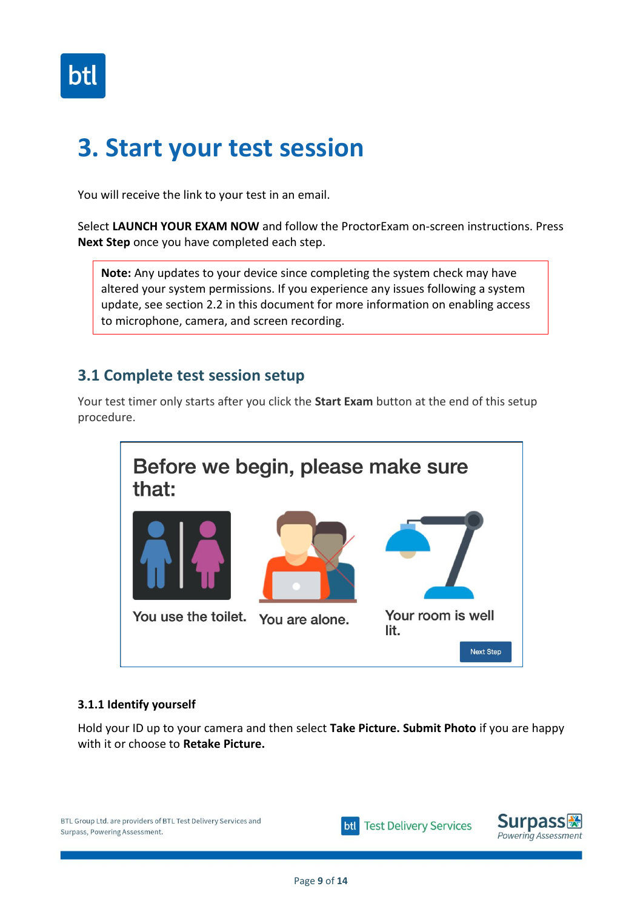

# <span id="page-8-0"></span>**3. Start your test session**

You will receive the link to your test in an email.

Select **LAUNCH YOUR EXAM NOW** and follow the ProctorExam on-screen instructions. Press **Next Step** once you have completed each step.

**Note:** Any updates to your device since completing the system check may have altered your system permissions. If you experience any issues following a system update, see section 2.2 in this document for more information on enabling access to microphone, camera, and screen recording.

### <span id="page-8-1"></span>**3.1 Complete test session setup**

Your test timer only starts after you click the **Start Exam** button at the end of this setup procedure.



#### <span id="page-8-2"></span>**3.1.1 Identify yourself**

Hold your ID up to your camera and then select **Take Picture. Submit Photo** if you are happy with it or choose to **Retake Picture.** 





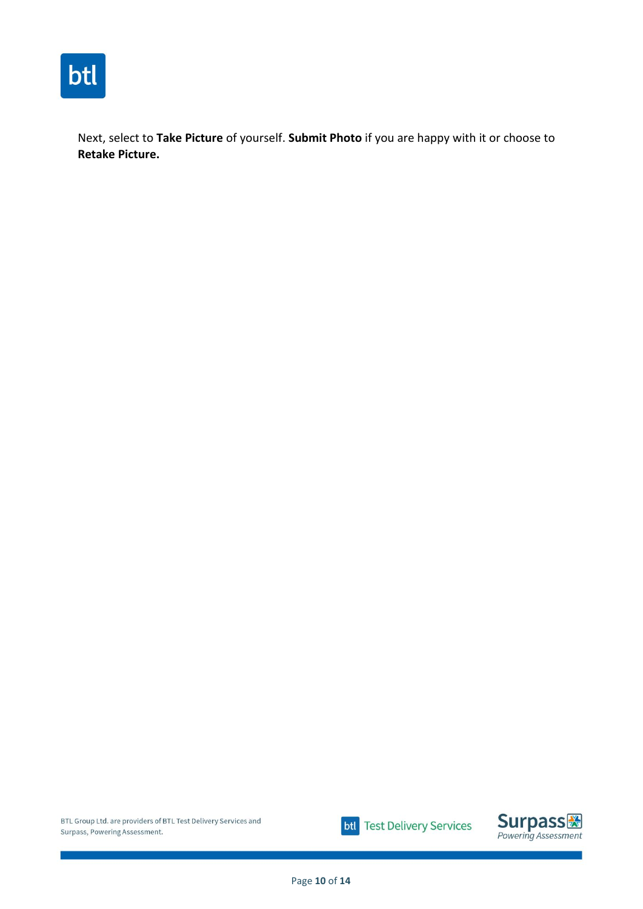

Next, select to **Take Picture** of yourself. **Submit Photo** if you are happy with it or choose to **Retake Picture.**



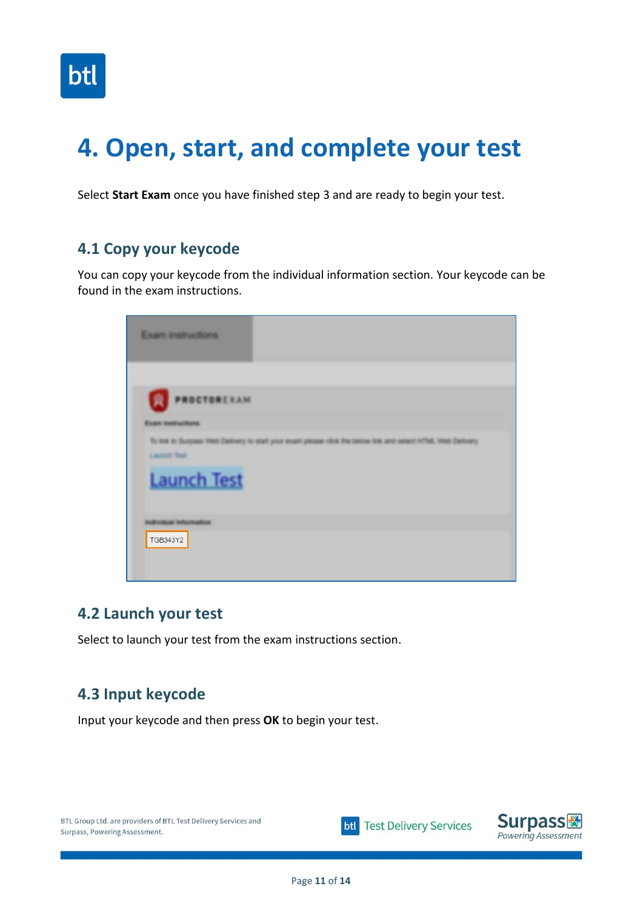

# <span id="page-10-0"></span>**4. Open, start, and complete your test**

Select **Start Exam** once you have finished step 3 and are ready to begin your test.

### <span id="page-10-1"></span>**4.1 Copy your keycode**

You can copy your keycode from the individual information section. Your keycode can be found in the exam instructions.

|                     | Exam instructions                                                                                            |  |
|---------------------|--------------------------------------------------------------------------------------------------------------|--|
| R                   | PROCTOREXAM                                                                                                  |  |
|                     | <b>Exam instructions</b>                                                                                     |  |
| <b>Laurent Text</b> | To link to Surgams Web Delhvery to start your exam please click the bettoe link and select HTML Web Delhvery |  |
|                     | <b>Launch Test</b>                                                                                           |  |
|                     | <b>Building Information</b>                                                                                  |  |
| <b>TGB343Y2</b>     |                                                                                                              |  |
|                     |                                                                                                              |  |

### <span id="page-10-2"></span>**4.2 Launch your test**

Select to launch your test from the exam instructions section.

### <span id="page-10-3"></span>**4.3 Input keycode**

Input your keycode and then press **OK** to begin your test.



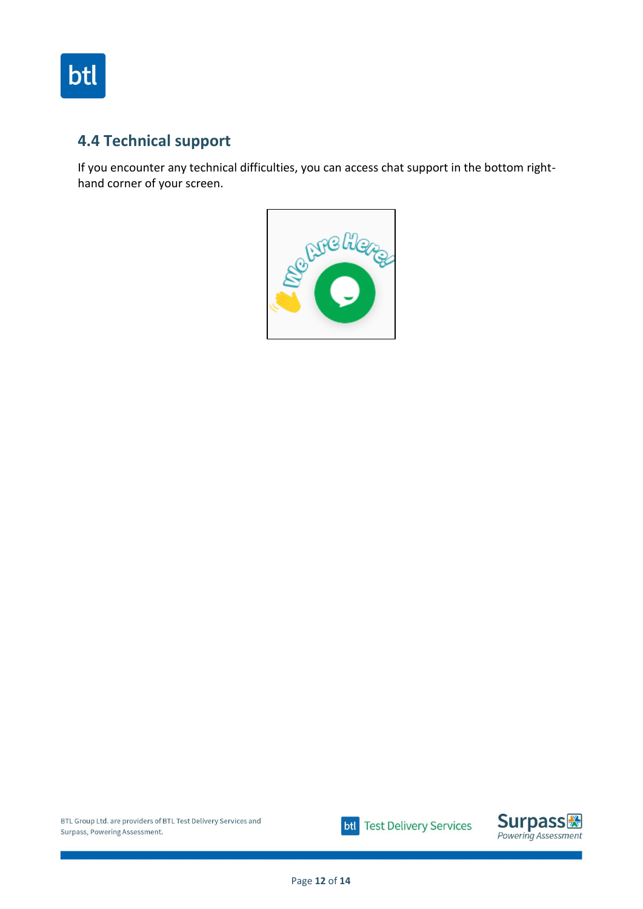

# <span id="page-11-0"></span>**4.4 Technical support**

If you encounter any technical difficulties, you can access chat support in the bottom righthand corner of your screen.





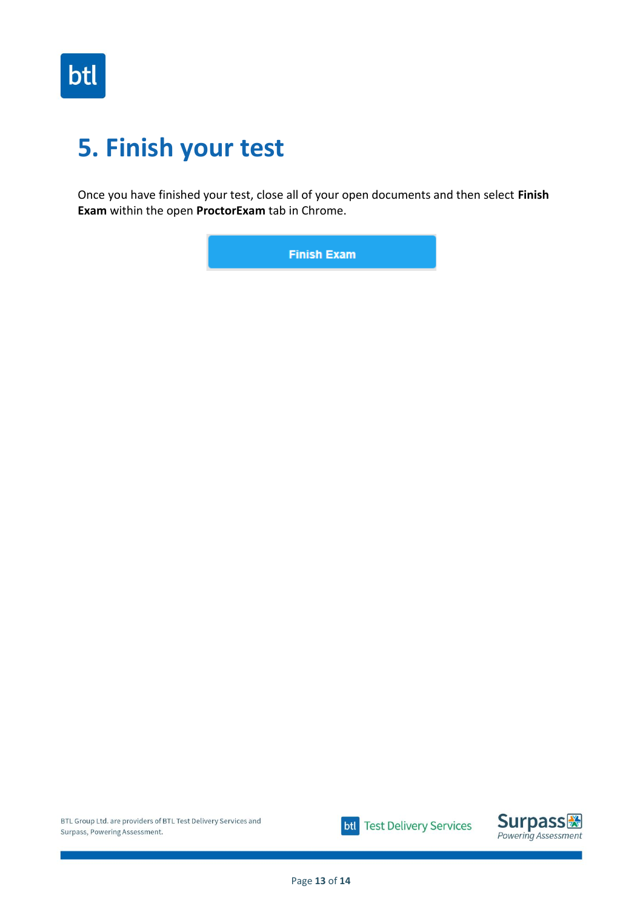

# <span id="page-12-0"></span>**5. Finish your test**

Once you have finished your test, close all of your open documents and then select **Finish Exam** within the open **ProctorExam** tab in Chrome.